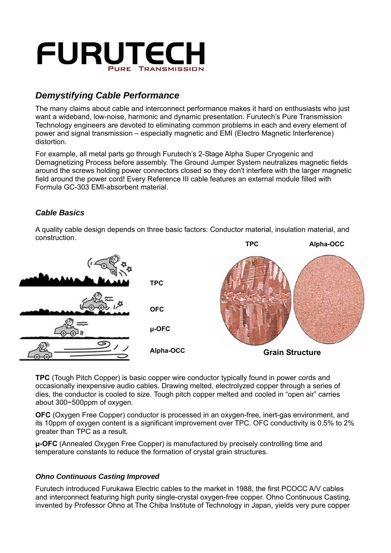

# *Demystifying Cable Performance*

The many claims about cable and interconnect performance makes it hard on enthusiasts who just want a wideband, low-noise, harmonic and dynamic presentation. Furutech's Pure Transmission Technology engineers are devoted to eliminating common problems in each and every element of power and signal transmission – especially magnetic and EMI (Electro Magnetic Interference) distortion.

For example, all metal parts go through Furutech's 2-Stage Alpha Super Cryogenic and Demagnetizing Process before assembly. The Ground Jumper System neutralizes magnetic fields around the screws holding power connectors closed so they don't interfere with the larger magnetic field around the power cord! Every Reference III cable features an external module filled with Formula GC-303 EMI-absorbent material.

A quality cable design depends on three basic factors: Conductor material, insulation material, and

# *Cable Basics*



**TPC** (Tough Pitch Copper) is basic copper wire conductor typically found in power cords and occasionally inexpensive audio cables. Drawing melted, electrolyzed copper through a series of dies, the conductor is cooled to size. Tough pitch copper melted and cooled in "open air" carries about 300~500ppm of oxygen.

**OFC** (Oxygen Free Copper) conductor is processed in an oxygen-free, inert-gas environment, and its 10ppm of oxygen content is a significant improvement over TPC. OFC conductivity is 0.5% to 2% greater than TPC as a result.

**μ-OFC** (Annealed Oxygen Free Copper) is manufactured by precisely controlling time and temperature constants to reduce the formation of crystal grain structures.

# *Ohno Continuous Casting Improved*

Furutech introduced Furukawa Electric cables to the market in 1988, the first PCOCC A/V cables and interconnect featuring high purity single-crystal oxygen-free copper. Ohno Continuous Casting, invented by Professor Ohno at The Chiba Institute of Technology in Japan, yields very pure copper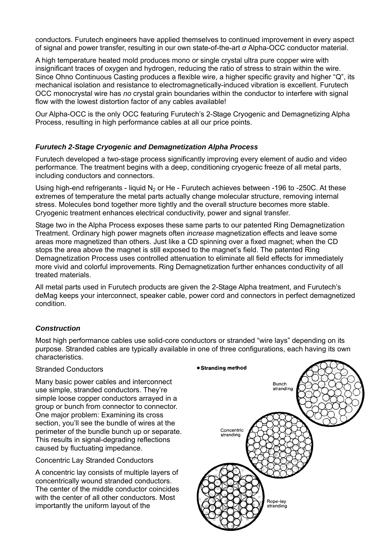conductors. Furutech engineers have applied themselves to continued improvement in every aspect of signal and power transfer, resulting in our own state-of-the-art *α* Alpha-OCC conductor material.

A high temperature heated mold produces mono or single crystal ultra pure copper wire with insignificant traces of oxygen and hydrogen, reducing the ratio of stress to strain within the wire. Since Ohno Continuous Casting produces a flexible wire, a higher specific gravity and higher "Q", its mechanical isolation and resistance to electromagnetically-induced vibration is excellent. Furutech OCC monocrystal wire has *no* crystal grain boundaries within the conductor to interfere with signal flow with the lowest distortion factor of any cables available!

Our Alpha-OCC is the only OCC featuring Furutech's 2-Stage Cryogenic and Demagnetizing Alpha Process, resulting in high performance cables at all our price points.

# *Furutech 2-Stage Cryogenic and Demagnetization Alpha Process*

Furutech developed a two-stage process significantly improving every element of audio and video performance. The treatment begins with a deep, conditioning cryogenic freeze of all metal parts, including conductors and connectors.

Using high-end refrigerants - liquid  $N_2$  or He - Furutech achieves between -196 to -250C. At these extremes of temperature the metal parts actually change molecular structure, removing internal stress. Molecules bond together more tightly and the overall structure becomes more stable. Cryogenic treatment enhances electrical conductivity, power and signal transfer.

Stage two in the Alpha Process exposes these same parts to our patented Ring Demagnetization Treatment. Ordinary high power magnets often *increase* magnetization effects and leave some areas more magnetized than others. Just like a CD spinning over a fixed magnet; when the CD stops the area above the magnet is still exposed to the magnet's field. The patented Ring Demagnetization Process uses controlled attenuation to eliminate all field effects for immediately more vivid and colorful improvements. Ring Demagnetization further enhances conductivity of all treated materials.

All metal parts used in Furutech products are given the 2-Stage Alpha treatment, and Furutech's deMag keeps your interconnect, speaker cable, power cord and connectors in perfect demagnetized condition.

# *Construction*

Most high performance cables use solid-core conductors or stranded "wire lays" depending on its purpose. Stranded cables are typically available in one of three configurations, each having its own characteristics.

# Stranded Conductors

Many basic power cables and interconnect use simple, stranded conductors. They're simple loose copper conductors arrayed in a group or bunch from connector to connector. One major problem: Examining its cross section, you'll see the bundle of wires at the perimeter of the bundle bunch up or separate. This results in signal-degrading reflections caused by fluctuating impedance.

Concentric Lay Stranded Conductors

A concentric lay consists of multiple layers of concentrically wound stranded conductors. The center of the middle conductor coincides with the center of all other conductors. Most importantly the uniform layout of the

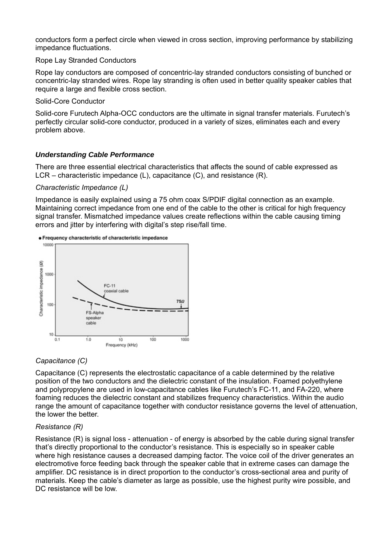conductors form a perfect circle when viewed in cross section, improving performance by stabilizing impedance fluctuations.

# Rope Lay Stranded Conductors

Rope lay conductors are composed of concentric-lay stranded conductors consisting of bunched or concentric-lay stranded wires. Rope lay stranding is often used in better quality speaker cables that require a large and flexible cross section.

Solid-Core Conductor

Solid-core Furutech Alpha-OCC conductors are the ultimate in signal transfer materials. Furutech's perfectly circular solid-core conductor, produced in a variety of sizes, eliminates each and every problem above.

# *Understanding Cable Performance*

There are three essential electrical characteristics that affects the sound of cable expressed as LCR – characteristic impedance (L), capacitance (C), and resistance (R).

#### *Characteristic Impedance (L)*

Impedance is easily explained using a 75 ohm coax S/PDIF digital connection as an example. Maintaining correct impedance from one end of the cable to the other is critical for high frequency signal transfer. Mismatched impedance values create reflections within the cable causing timing errors and jitter by interfering with digital's step rise/fall time.



# *Capacitance (C)*

Capacitance (C) represents the electrostatic capacitance of a cable determined by the relative position of the two conductors and the dielectric constant of the insulation. Foamed polyethylene and polypropylene are used in low-capacitance cables like Furutech's FC-11, and FA-220, where foaming reduces the dielectric constant and stabilizes frequency characteristics. Within the audio range the amount of capacitance together with conductor resistance governs the level of attenuation, the lower the better.

# *Resistance (R)*

Resistance (R) is signal loss - attenuation - of energy is absorbed by the cable during signal transfer that's directly proportional to the conductor's resistance. This is especially so in speaker cable where high resistance causes a decreased damping factor. The voice coil of the driver generates an electromotive force feeding back through the speaker cable that in extreme cases can damage the amplifier. DC resistance is in direct proportion to the conductor's cross-sectional area and purity of materials. Keep the cable's diameter as large as possible, use the highest purity wire possible, and DC resistance will be low.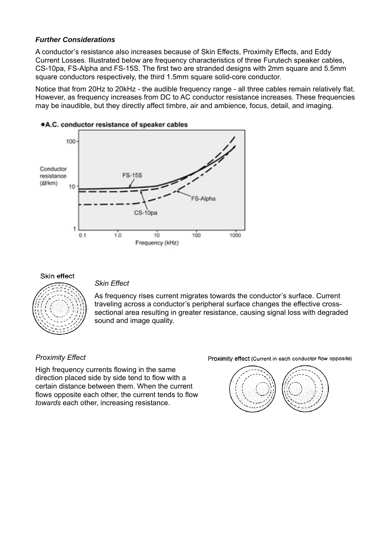# *Further Considerations*

A conductor's resistance also increases because of Skin Effects, Proximity Effects, and Eddy Current Losses. Illustrated below are frequency characteristics of three Furutech speaker cables, CS-10pa, FS-Alpha and FS-15S. The first two are stranded designs with 2mm square and 5.5mm square conductors respectively, the third 1.5mm square solid-core conductor.

Notice that from 20Hz to 20kHz - the audible frequency range - all three cables remain relatively flat. However, as frequency increases from DC to AC conductor resistance increases. These frequencies may be inaudible, but they directly affect timbre, air and ambience, focus, detail, and imaging.



# .A.C. conductor resistance of speaker cables

#### Skin effect



*Skin Effect* 

As frequency rises current migrates towards the conductor's surface. Current traveling across a conductor's peripheral surface changes the effective crosssectional area resulting in greater resistance, causing signal loss with degraded sound and image quality.

# *Proximity Effect*

High frequency currents flowing in the same direction placed side by side tend to flow with a certain distance between them. When the current flows opposite each other, the current tends to flow *towards* each other, increasing resistance.

Proximity effect (Current in each conductor flow opposite)

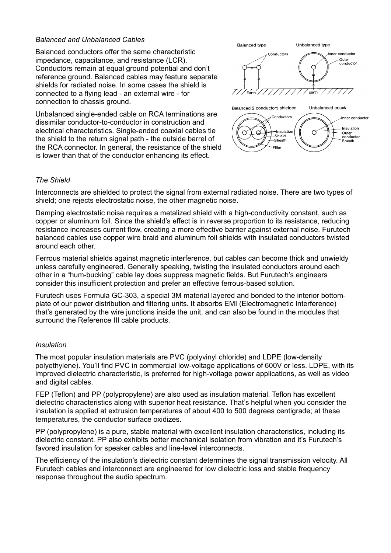# *Balanced and Unbalanced Cables*

Balanced conductors offer the same characteristic impedance, capacitance, and resistance (LCR). Conductors remain at equal ground potential and don't reference ground. Balanced cables may feature separate shields for radiated noise. In some cases the shield is connected to a flying lead - an external wire - for connection to chassis ground.

Unbalanced single-ended cable on RCA terminations are dissimilar conductor-to-conductor in construction and electrical characteristics. Single-ended coaxial cables tie the shield to the return signal path - the outside barrel of the RCA connector. In general, the resistance of the shield is lower than that of the conductor enhancing its effect.



# *The Shield*

Interconnects are shielded to protect the signal from external radiated noise. There are two types of shield; one rejects electrostatic noise, the other magnetic noise.

Damping electrostatic noise requires a metalized shield with a high-conductivity constant, such as copper or aluminum foil. Since the shield's effect is in reverse proportion to its resistance, reducing resistance increases current flow, creating a more effective barrier against external noise. Furutech balanced cables use copper wire braid and aluminum foil shields with insulated conductors twisted around each other.

Ferrous material shields against magnetic interference, but cables can become thick and unwieldy unless carefully engineered. Generally speaking, twisting the insulated conductors around each other in a "hum-bucking" cable lay does suppress magnetic fields. But Furutech's engineers consider this insufficient protection and prefer an effective ferrous-based solution.

Furutech uses Formula GC-303, a special 3M material layered and bonded to the interior bottomplate of our power distribution and filtering units. It absorbs EMI (Electromagnetic Interference) that's generated by the wire junctions inside the unit, and can also be found in the modules that surround the Reference III cable products.

# *Insulation*

The most popular insulation materials are PVC (polyvinyl chloride) and LDPE (low-density polyethylene). You'll find PVC in commercial low-voltage applications of 600V or less. LDPE, with its improved dielectric characteristic, is preferred for high-voltage power applications, as well as video and digital cables.

FEP (Teflon) and PP (polypropylene) are also used as insulation material. Teflon has excellent dielectric characteristics along with superior heat resistance. That's helpful when you consider the insulation is applied at extrusion temperatures of about 400 to 500 degrees centigrade; at these temperatures, the conductor surface oxidizes.

PP (polypropylene) is a pure, stable material with excellent insulation characteristics, including its dielectric constant. PP also exhibits better mechanical isolation from vibration and it's Furutech's favored insulation for speaker cables and line-level interconnects.

The efficiency of the insulation's dielectric constant determines the signal transmission velocity. All Furutech cables and interconnect are engineered for low dielectric loss and stable frequency response throughout the audio spectrum.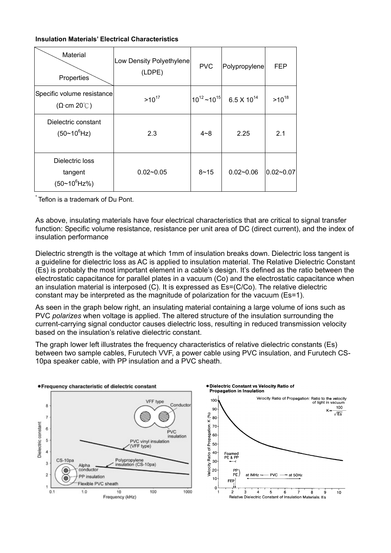#### **Insulation Materials' Electrical Characteristics**

| Material<br>Properties                           | Low Density Polyethylene<br>(LDPE) | <b>PVC</b>            | Polypropylene        | <b>FEP</b>    |
|--------------------------------------------------|------------------------------------|-----------------------|----------------------|---------------|
| Specific volume resistance<br>$(\Omega$ cm 20°C) | $>10^{17}$                         | $10^{12}$ ~ $10^{15}$ | $6.5 \times 10^{14}$ | $>10^{18}$    |
| Dielectric constant<br>$(50~10^{6}$ Hz)          | 2.3                                | $4 - 8$               | 2.25                 | 2.1           |
| Dielectric loss<br>tangent<br>$(50~10^{6}$ Hz%)  | $0.02 - 0.05$                      | $8 - 15$              | $0.02 - 0.06$        | $0.02 - 0.07$ |

Teflon is a trademark of Du Pont.

As above, insulating materials have four electrical characteristics that are critical to signal transfer function: Specific volume resistance, resistance per unit area of DC (direct current), and the index of insulation performance

Dielectric strength is the voltage at which 1mm of insulation breaks down. Dielectric loss tangent is a guideline for dielectric loss as AC is applied to insulation material. The Relative Dielectric Constant (Es) is probably the most important element in a cable's design. It's defined as the ratio between the electrostatic capacitance for parallel plates in a vacuum (Co) and the electrostatic capacitance when an insulation material is interposed (C). It is expressed as Es=(C/Co). The relative dielectric constant may be interpreted as the magnitude of polarization for the vacuum (Es=1).

As seen in the graph below right, an insulating material containing a large volume of ions such as PVC *polarizes* when voltage is applied. The altered structure of the insulation surrounding the current-carrying signal conductor causes dielectric loss, resulting in reduced transmission velocity based on the insulation's relative dielectric constant.

The graph lower left illustrates the frequency characteristics of relative dielectric constants (Es) between two sample cables, Furutech VVF, a power cable using PVC insulation, and Furutech CS-10pa speaker cable, with PP insulation and a PVC sheath.

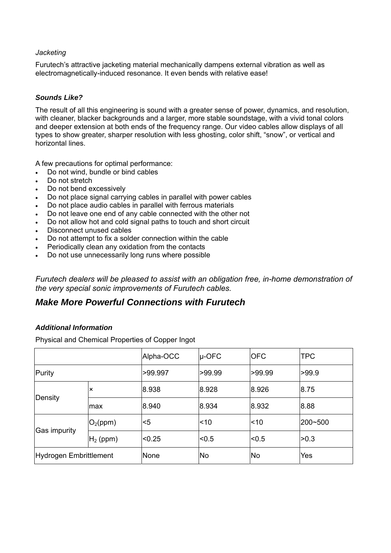# *Jacketing*

Furutech's attractive jacketing material mechanically dampens external vibration as well as electromagnetically-induced resonance. It even bends with relative ease!

# *Sounds Like?*

The result of all this engineering is sound with a greater sense of power, dynamics, and resolution, with cleaner, blacker backgrounds and a larger, more stable soundstage, with a vivid tonal colors and deeper extension at both ends of the frequency range. Our video cables allow displays of all types to show greater, sharper resolution with less ghosting, color shift, "snow", or vertical and horizontal lines.

A few precautions for optimal performance:

- Do not wind, bundle or bind cables
- Do not stretch
- Do not bend excessively
- Do not place signal carrying cables in parallel with power cables
- Do not place audio cables in parallel with ferrous materials
- Do not leave one end of any cable connected with the other not
- Do not allow hot and cold signal paths to touch and short circuit
- Disconnect unused cables
- Do not attempt to fix a solder connection within the cable
- Periodically clean any oxidation from the contacts
- Do not use unnecessarily long runs where possible

*Furutech dealers will be pleased to assist with an obligation free, in-home demonstration of the very special sonic improvements of Furutech cables.* 

# *Make More Powerful Connections with Furutech*

# *Additional Information*

Physical and Chemical Properties of Copper Ingot

|                        |                           | Alpha-OCC | u-OFC     | <b>OFC</b> | <b>TPC</b> |
|------------------------|---------------------------|-----------|-----------|------------|------------|
| Purity                 |                           | >99.997   | >99.99    | >99.99     | >99.9      |
| Density                | $\boldsymbol{\mathsf{x}}$ | 8.938     | 8.928     | 8.926      | 8.75       |
|                        | max                       | 8.940     | 8.934     | 8.932      | 8.88       |
| Gas impurity           | O <sub>2</sub> (ppm)      | $<$ 5     | ~10       | l<10       | 200~500    |
|                        | $H_2$ (ppm)               | < 0.25    | < 0.5     | $ $ < 0.5  | >0.3       |
| Hydrogen Embrittlement |                           | None      | <b>No</b> | <b>No</b>  | Yes        |